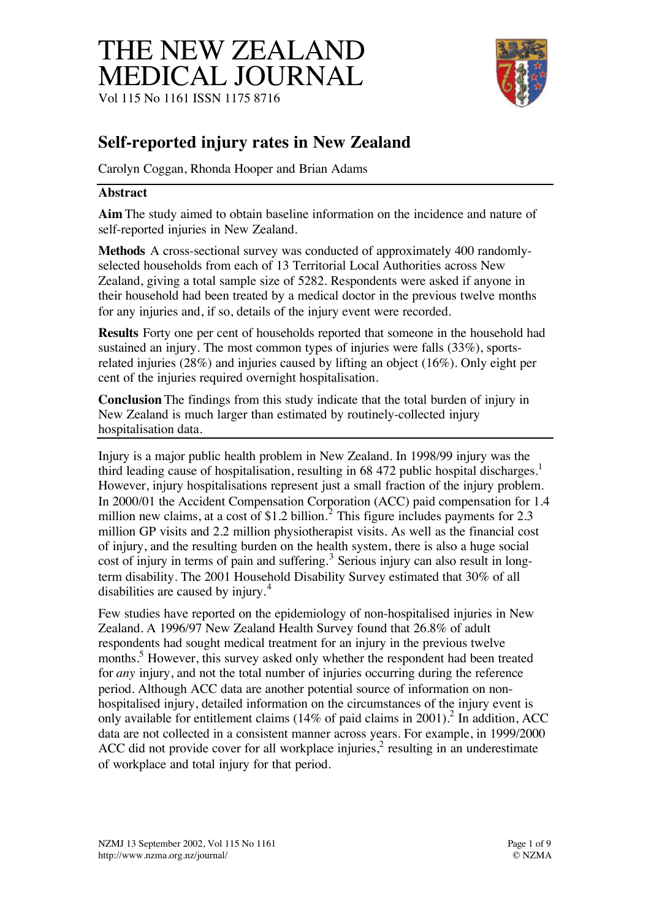# THE NEW ZEALAND MEDICAL JOURNAL Vol 115 No 1161 ISSN 1175 8716



## **Self-reported injury rates in New Zealand**

Carolyn Coggan, Rhonda Hooper and Brian Adams

#### **Abstract**

**Aim** The study aimed to obtain baseline information on the incidence and nature of self-reported injuries in New Zealand.

**Methods** A cross-sectional survey was conducted of approximately 400 randomlyselected households from each of 13 Territorial Local Authorities across New Zealand, giving a total sample size of 5282. Respondents were asked if anyone in their household had been treated by a medical doctor in the previous twelve months for any injuries and, if so, details of the injury event were recorded.

**Results** Forty one per cent of households reported that someone in the household had sustained an injury. The most common types of injuries were falls (33%), sportsrelated injuries (28%) and injuries caused by lifting an object (16%). Only eight per cent of the injuries required overnight hospitalisation.

**Conclusion** The findings from this study indicate that the total burden of injury in New Zealand is much larger than estimated by routinely-collected injury hospitalisation data.

Injury is a major public health problem in New Zealand. In 1998/99 injury was the third leading cause of hospitalisation, resulting in 68 472 public hospital discharges.<sup>1</sup> However, injury hospitalisations represent just a small fraction of the injury problem. In 2000/01 the Accident Compensation Corporation (ACC) paid compensation for 1.4 million new claims, at a cost of \$1.2 billion.<sup>2</sup> This figure includes payments for 2.3 million GP visits and 2.2 million physiotherapist visits. As well as the financial cost of injury, and the resulting burden on the health system, there is also a huge social cost of injury in terms of pain and suffering.<sup>3</sup> Serious injury can also result in longterm disability. The 2001 Household Disability Survey estimated that 30% of all disabilities are caused by injury.<sup>4</sup>

Few studies have reported on the epidemiology of non-hospitalised injuries in New Zealand. A 1996/97 New Zealand Health Survey found that 26.8% of adult respondents had sought medical treatment for an injury in the previous twelve months.<sup>5</sup> However, this survey asked only whether the respondent had been treated for *any* injury, and not the total number of injuries occurring during the reference period. Although ACC data are another potential source of information on nonhospitalised injury, detailed information on the circumstances of the injury event is only available for entitlement claims (14% of paid claims in 2001).<sup>2</sup> In addition, ACC data are not collected in a consistent manner across years. For example, in 1999/2000 ACC did not provide cover for all workplace injuries, $<sup>2</sup>$  resulting in an underestimate</sup> of workplace and total injury for that period.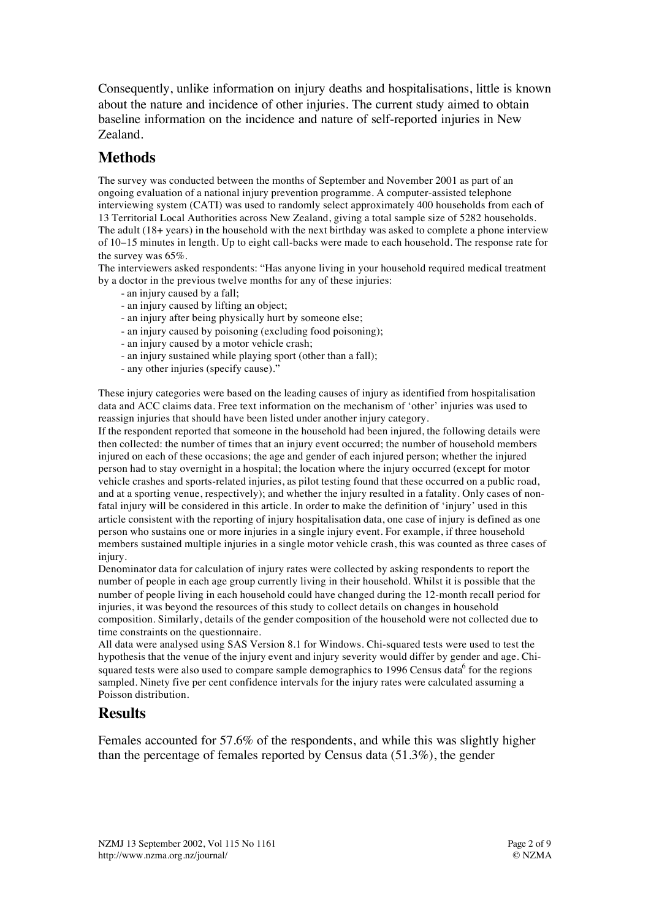Consequently, unlike information on injury deaths and hospitalisations, little is known about the nature and incidence of other injuries. The current study aimed to obtain baseline information on the incidence and nature of self-reported injuries in New Zealand.

## **Methods**

The survey was conducted between the months of September and November 2001 as part of an ongoing evaluation of a national injury prevention programme. A computer-assisted telephone interviewing system (CATI) was used to randomly select approximately 400 households from each of 13 Territorial Local Authorities across New Zealand, giving a total sample size of 5282 households. The adult (18+ years) in the household with the next birthday was asked to complete a phone interview of 10–15 minutes in length. Up to eight call-backs were made to each household. The response rate for the survey was 65%.

The interviewers asked respondents: "Has anyone living in your household required medical treatment by a doctor in the previous twelve months for any of these injuries:

- an injury caused by a fall;
- an injury caused by lifting an object;
- an injury after being physically hurt by someone else;
- an injury caused by poisoning (excluding food poisoning);
- an injury caused by a motor vehicle crash;
- an injury sustained while playing sport (other than a fall);
- any other injuries (specify cause)."

These injury categories were based on the leading causes of injury as identified from hospitalisation data and ACC claims data. Free text information on the mechanism of 'other' injuries was used to reassign injuries that should have been listed under another injury category.

If the respondent reported that someone in the household had been injured, the following details were then collected: the number of times that an injury event occurred; the number of household members injured on each of these occasions; the age and gender of each injured person; whether the injured person had to stay overnight in a hospital; the location where the injury occurred (except for motor vehicle crashes and sports-related injuries, as pilot testing found that these occurred on a public road, and at a sporting venue, respectively); and whether the injury resulted in a fatality. Only cases of nonfatal injury will be considered in this article. In order to make the definition of 'injury' used in this article consistent with the reporting of injury hospitalisation data, one case of injury is defined as one person who sustains one or more injuries in a single injury event. For example, if three household members sustained multiple injuries in a single motor vehicle crash, this was counted as three cases of injury.

Denominator data for calculation of injury rates were collected by asking respondents to report the number of people in each age group currently living in their household. Whilst it is possible that the number of people living in each household could have changed during the 12-month recall period for injuries, it was beyond the resources of this study to collect details on changes in household composition. Similarly, details of the gender composition of the household were not collected due to time constraints on the questionnaire.

All data were analysed using SAS Version 8.1 for Windows. Chi-squared tests were used to test the hypothesis that the venue of the injury event and injury severity would differ by gender and age. Chisquared tests were also used to compare sample demographics to 1996 Census data $^6$  for the regions sampled. Ninety five per cent confidence intervals for the injury rates were calculated assuming a Poisson distribution.

#### **Results**

Females accounted for 57.6% of the respondents, and while this was slightly higher than the percentage of females reported by Census data (51.3%), the gender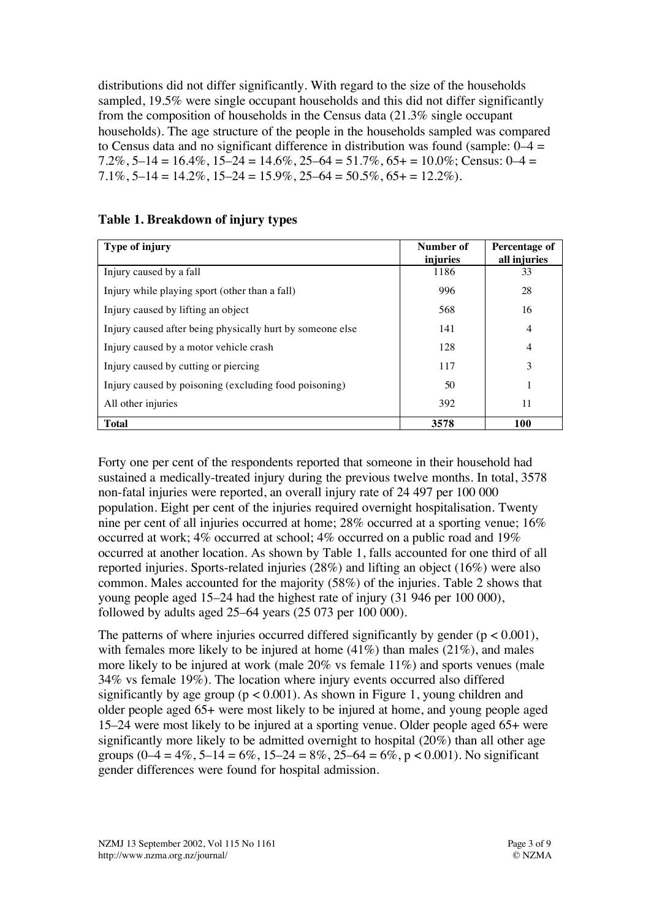distributions did not differ significantly. With regard to the size of the households sampled, 19.5% were single occupant households and this did not differ significantly from the composition of households in the Census data (21.3% single occupant households). The age structure of the people in the households sampled was compared to Census data and no significant difference in distribution was found (sample:  $0-4 =$ 7.2%, 5–14 =  $16.4\%$ , 15–24 =  $14.6\%$ , 25–64 =  $51.7\%$ , 65+ =  $10.0\%$ ; Census: 0–4 =  $7.1\%, 5-14 = 14.2\%, 15-24 = 15.9\%, 25-64 = 50.5\%, 65+ = 12.2\%$ .

| Type of injury                                            | Number of<br>injuries | Percentage of<br>all injuries |
|-----------------------------------------------------------|-----------------------|-------------------------------|
| Injury caused by a fall                                   | 1186                  | 33                            |
| Injury while playing sport (other than a fall)            | 996                   | 28                            |
| Injury caused by lifting an object                        | 568                   | 16                            |
| Injury caused after being physically hurt by someone else | 141                   | $\overline{4}$                |
| Injury caused by a motor vehicle crash                    | 128                   | $\overline{4}$                |
| Injury caused by cutting or piercing                      | 117                   | 3                             |
| Injury caused by poisoning (excluding food poisoning)     | 50                    |                               |
| All other injuries                                        | 392                   | 11                            |
| <b>Total</b>                                              | 3578                  | 100                           |

#### **Table 1. Breakdown of injury types**

Forty one per cent of the respondents reported that someone in their household had sustained a medically-treated injury during the previous twelve months. In total, 3578 non-fatal injuries were reported, an overall injury rate of 24 497 per 100 000 population. Eight per cent of the injuries required overnight hospitalisation. Twenty nine per cent of all injuries occurred at home; 28% occurred at a sporting venue; 16% occurred at work; 4% occurred at school; 4% occurred on a public road and 19% occurred at another location. As shown by Table 1, falls accounted for one third of all reported injuries. Sports-related injuries (28%) and lifting an object (16%) were also common. Males accounted for the majority (58%) of the injuries. Table 2 shows that young people aged 15–24 had the highest rate of injury (31 946 per 100 000), followed by adults aged 25–64 years (25 073 per 100 000).

The patterns of where injuries occurred differed significantly by gender  $(p < 0.001)$ , with females more likely to be injured at home  $(41%)$  than males  $(21%)$ , and males more likely to be injured at work (male 20% vs female 11%) and sports venues (male 34% vs female 19%). The location where injury events occurred also differed significantly by age group ( $p < 0.001$ ). As shown in Figure 1, young children and older people aged 65+ were most likely to be injured at home, and young people aged 15–24 were most likely to be injured at a sporting venue. Older people aged 65+ were significantly more likely to be admitted overnight to hospital (20%) than all other age groups  $(0-4 = 4\%, 5-14 = 6\%, 15-24 = 8\%, 25-64 = 6\%, p < 0.001)$ . No significant gender differences were found for hospital admission.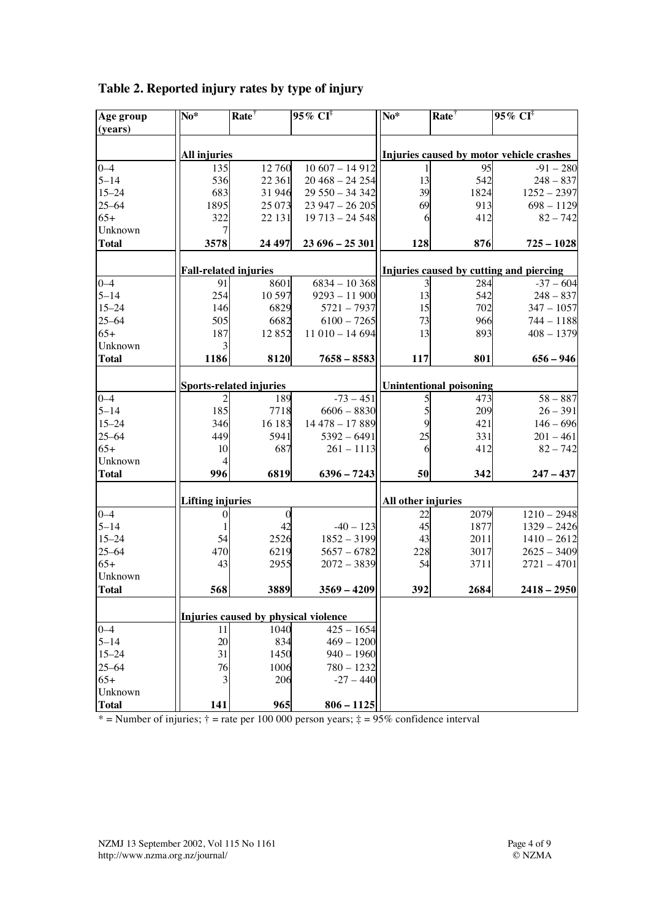| Age group    | $No*$                          | Rate <sup>†</sup>                    | $95\%$ CI <sup>‡</sup>         | $\overline{\text{No*}}$                  | Rate <sup>†</sup> | $95\%$ CI <sup>‡</sup> |
|--------------|--------------------------------|--------------------------------------|--------------------------------|------------------------------------------|-------------------|------------------------|
| (years)      |                                |                                      |                                |                                          |                   |                        |
|              | <b>All injuries</b>            |                                      |                                | Injuries caused by motor vehicle crashes |                   |                        |
| $0 - 4$      | 135                            | 12 760                               | $10607 - 14912$                |                                          | 95                | $-91 - 280$            |
| $5 - 14$     | 536                            | 22 361                               | $20468 - 24254$                | 13                                       | 542               | $248 - 837$            |
| $15 - 24$    | 683                            | 31946                                | $29550 - 34342$                | 39                                       | 1824              | $1252 - 2397$          |
| $25 - 64$    | 1895                           | 25 073                               | $23947 - 26205$                | 69                                       | 913               | $698 - 1129$           |
| $65+$        | 322                            | 22 13 1                              | $19713 - 24548$                | 6                                        | 412               | $82 - 742$             |
| Unknown      | 7                              |                                      |                                |                                          |                   |                        |
| <b>Total</b> | 3578                           | 24 497                               | $23696 - 25301$                | 128                                      | 876               | $725 - 1028$           |
|              |                                |                                      |                                |                                          |                   |                        |
|              |                                | <b>Fall-related injuries</b>         |                                | Injuries caused by cutting and piercing  |                   |                        |
| $0 - 4$      | 91                             | 8601                                 | $6834 - 10368$                 | 3                                        | 284               | $-37 - 604$            |
| $5 - 14$     | 254                            | 10 597                               | $9293 - 11900$                 | 13                                       | 542               | $248 - 837$            |
| $15 - 24$    | 146                            | 6829                                 | $5721 - 7937$                  | 15                                       | 702               | $347 - 1057$           |
| $25 - 64$    | 505                            | 6682                                 | $6100 - 7265$                  | 73                                       | 966               | $744 - 1188$           |
| $65+$        | 187                            | 12852                                | $11010 - 14694$                | 13                                       | 893               | $408 - 1379$           |
| Unknown      | 3                              |                                      |                                |                                          |                   |                        |
| <b>Total</b> | 1186                           | 8120                                 | $7658 - 8583$                  | 117                                      | 801               | $656 - 946$            |
|              | <b>Sports-related injuries</b> |                                      | <b>Unintentional poisoning</b> |                                          |                   |                        |
| $0 - 4$      |                                | 189                                  | $-73 - 451$                    |                                          | 473               | $58 - 887$             |
| $5 - 14$     | 185                            | 7718                                 | $6606 - 8830$                  | 5                                        | 209               | $26 - 391$             |
| $15 - 24$    | 346                            | 16 183                               | 14 478 - 17 889                | 9                                        | 421               | $146 - 696$            |
| $25 - 64$    | 449                            | 5941                                 | $5392 - 6491$                  | 25                                       | 331               | $201 - 461$            |
| $65+$        | 10                             | 687                                  | $261 - 1113$                   | 6                                        | 412               | $82 - 742$             |
| Unknown      | 4                              |                                      |                                |                                          |                   |                        |
| <b>Total</b> | 996                            | 6819                                 | $6396 - 7243$                  | 50                                       | 342               | $247 - 437$            |
|              | <b>Lifting injuries</b>        |                                      |                                | All other injuries                       |                   |                        |
| $0 - 4$      | $\theta$                       |                                      |                                | 22                                       | 2079              | $1210 - 2948$          |
| $5 - 14$     | 1                              | 42                                   | $-40 - 123$                    | 45                                       | 1877              | $1329 - 2426$          |
| $15 - 24$    | 54                             | 2526                                 | $1852 - 3199$                  | 43                                       | 2011              | $1410 - 2612$          |
| $25 - 64$    | 470                            | 6219                                 | $5657 - 6782$                  | 228                                      | 3017              | $2625 - 3409$          |
| $65+$        | 43                             | 2955                                 | $2072 - 3839$                  | 54                                       | 3711              | $2721 - 4701$          |
| Unknown      |                                |                                      |                                |                                          |                   |                        |
| <b>Total</b> | 568                            | 3889                                 | $3569 - 4209$                  | 392                                      | 2684              | $2418 - 2950$          |
|              |                                |                                      |                                |                                          |                   |                        |
|              |                                | Injuries caused by physical violence |                                |                                          |                   |                        |
| $0 - 4$      | 11                             | 1040                                 | $425 - 1654$                   |                                          |                   |                        |
| $5 - 14$     | 20                             | 834                                  | $469 - 1200$                   |                                          |                   |                        |
| $15 - 24$    | 31                             | 1450                                 | $940 - 1960$                   |                                          |                   |                        |
| $25 - 64$    | 76                             | 1006                                 | $780 - 1232$                   |                                          |                   |                        |
| $65+$        | 3                              | 206                                  | $-27 - 440$                    |                                          |                   |                        |
| Unknown      |                                |                                      |                                |                                          |                   |                        |
| <b>Total</b> | 141                            | 965                                  | $806 - 1125$                   |                                          |                   |                        |

**Table 2. Reported injury rates by type of injury**

\* = Number of injuries;  $\dagger$  = rate per 100 000 person years;  $\ddagger$  = 95% confidence interval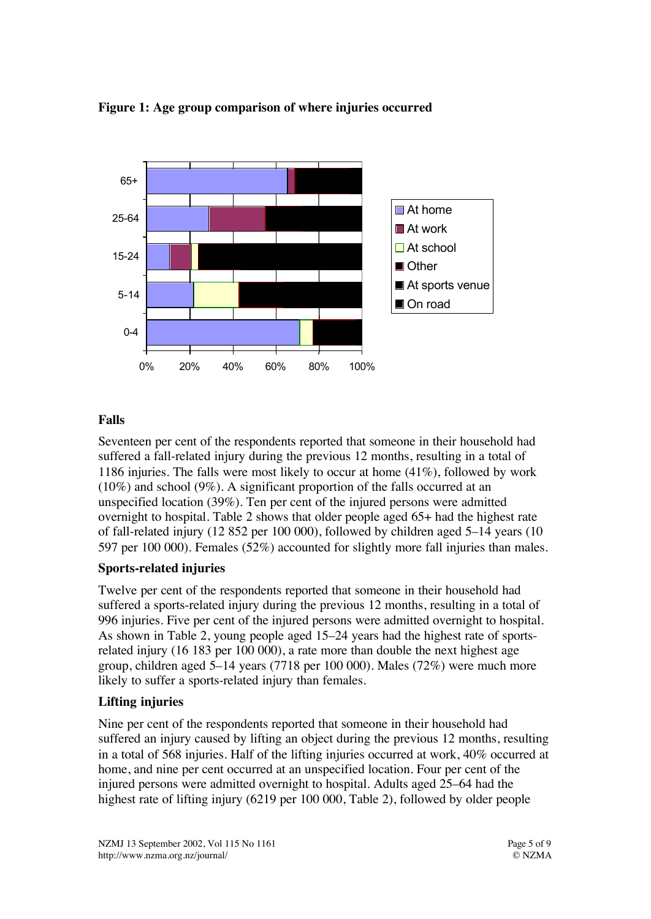

**Figure 1: Age group comparison of where injuries occurred**

### **Falls**

Seventeen per cent of the respondents reported that someone in their household had suffered a fall-related injury during the previous 12 months, resulting in a total of 1186 injuries. The falls were most likely to occur at home (41%), followed by work (10%) and school (9%). A significant proportion of the falls occurred at an unspecified location (39%). Ten per cent of the injured persons were admitted overnight to hospital. Table 2 shows that older people aged 65+ had the highest rate of fall-related injury (12 852 per 100 000), followed by children aged 5–14 years (10 597 per 100 000). Females (52%) accounted for slightly more fall injuries than males.

#### **Sports-related injuries**

Twelve per cent of the respondents reported that someone in their household had suffered a sports-related injury during the previous 12 months, resulting in a total of 996 injuries. Five per cent of the injured persons were admitted overnight to hospital. As shown in Table 2, young people aged 15–24 years had the highest rate of sportsrelated injury (16 183 per 100 000), a rate more than double the next highest age group, children aged 5–14 years (7718 per 100 000). Males (72%) were much more likely to suffer a sports-related injury than females.

#### **Lifting injuries**

Nine per cent of the respondents reported that someone in their household had suffered an injury caused by lifting an object during the previous 12 months, resulting in a total of 568 injuries. Half of the lifting injuries occurred at work, 40% occurred at home, and nine per cent occurred at an unspecified location. Four per cent of the injured persons were admitted overnight to hospital. Adults aged 25–64 had the highest rate of lifting injury (6219 per 100 000, Table 2), followed by older people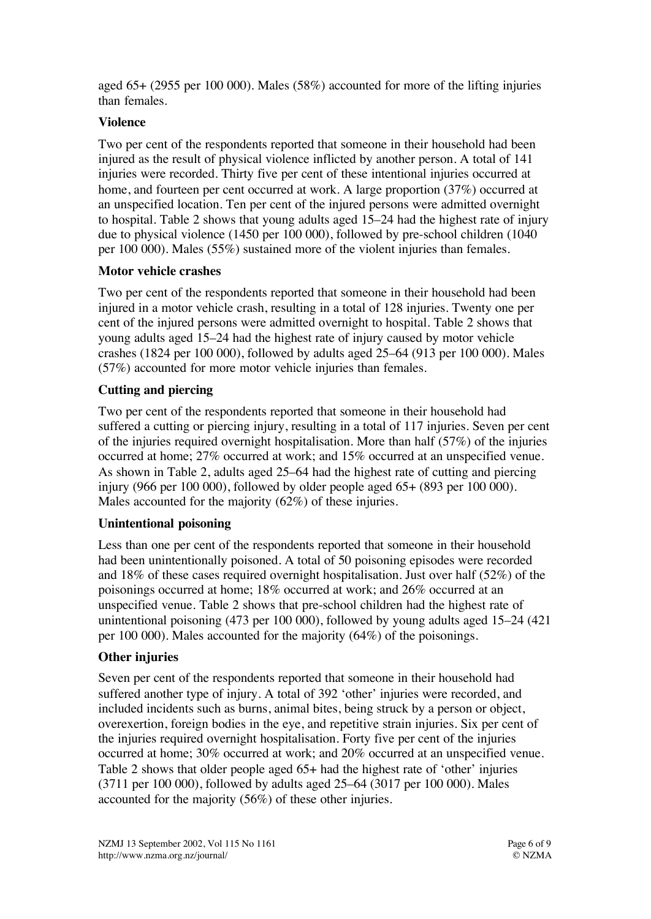aged 65+ (2955 per 100 000). Males (58%) accounted for more of the lifting injuries than females.

#### **Violence**

Two per cent of the respondents reported that someone in their household had been injured as the result of physical violence inflicted by another person. A total of 141 injuries were recorded. Thirty five per cent of these intentional injuries occurred at home, and fourteen per cent occurred at work. A large proportion (37%) occurred at an unspecified location. Ten per cent of the injured persons were admitted overnight to hospital. Table 2 shows that young adults aged 15–24 had the highest rate of injury due to physical violence (1450 per 100 000), followed by pre-school children (1040 per 100 000). Males (55%) sustained more of the violent injuries than females.

#### **Motor vehicle crashes**

Two per cent of the respondents reported that someone in their household had been injured in a motor vehicle crash, resulting in a total of 128 injuries. Twenty one per cent of the injured persons were admitted overnight to hospital. Table 2 shows that young adults aged 15–24 had the highest rate of injury caused by motor vehicle crashes (1824 per 100 000), followed by adults aged 25–64 (913 per 100 000). Males (57%) accounted for more motor vehicle injuries than females.

#### **Cutting and piercing**

Two per cent of the respondents reported that someone in their household had suffered a cutting or piercing injury, resulting in a total of 117 injuries. Seven per cent of the injuries required overnight hospitalisation. More than half (57%) of the injuries occurred at home; 27% occurred at work; and 15% occurred at an unspecified venue. As shown in Table 2, adults aged 25–64 had the highest rate of cutting and piercing injury (966 per 100 000), followed by older people aged 65+ (893 per 100 000). Males accounted for the majority (62%) of these injuries.

#### **Unintentional poisoning**

Less than one per cent of the respondents reported that someone in their household had been unintentionally poisoned. A total of 50 poisoning episodes were recorded and 18% of these cases required overnight hospitalisation. Just over half (52%) of the poisonings occurred at home; 18% occurred at work; and 26% occurred at an unspecified venue. Table 2 shows that pre-school children had the highest rate of unintentional poisoning (473 per 100 000), followed by young adults aged 15–24 (421 per 100 000). Males accounted for the majority (64%) of the poisonings.

#### **Other injuries**

Seven per cent of the respondents reported that someone in their household had suffered another type of injury. A total of 392 'other' injuries were recorded, and included incidents such as burns, animal bites, being struck by a person or object, overexertion, foreign bodies in the eye, and repetitive strain injuries. Six per cent of the injuries required overnight hospitalisation. Forty five per cent of the injuries occurred at home; 30% occurred at work; and 20% occurred at an unspecified venue. Table 2 shows that older people aged 65+ had the highest rate of 'other' injuries (3711 per 100 000), followed by adults aged 25–64 (3017 per 100 000). Males accounted for the majority (56%) of these other injuries.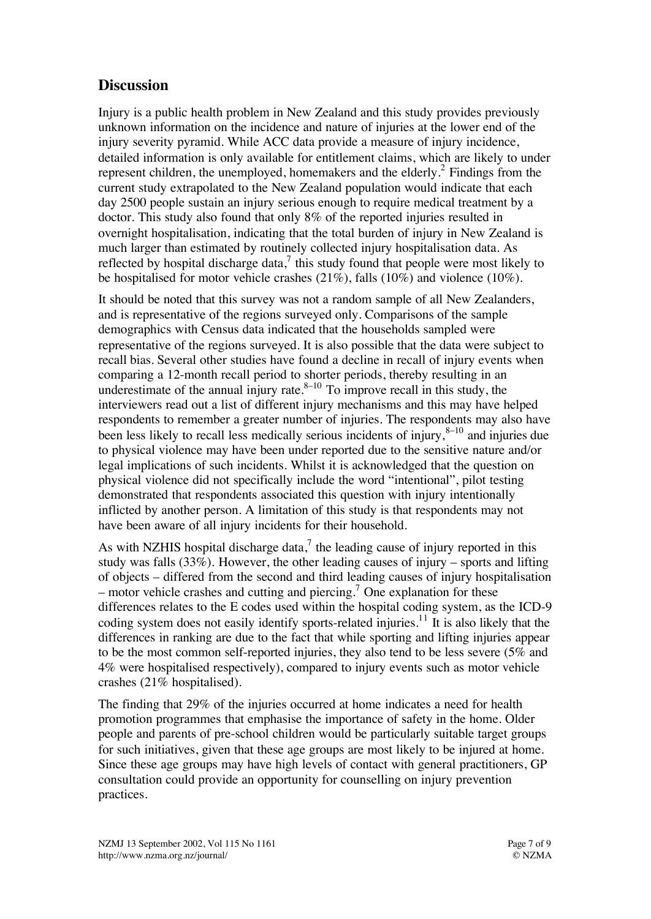## **Discussion**

Injury is a public health problem in New Zealand and this study provides previously unknown information on the incidence and nature of injuries at the lower end of the injury severity pyramid. While ACC data provide a measure of injury incidence, detailed information is only available for entitlement claims, which are likely to under represent children, the unemployed, homemakers and the elderly. $^2$  Findings from the current study extrapolated to the New Zealand population would indicate that each day 2500 people sustain an injury serious enough to require medical treatment by a doctor. This study also found that only 8% of the reported injuries resulted in overnight hospitalisation, indicating that the total burden of injury in New Zealand is much larger than estimated by routinely collected injury hospitalisation data. As reflected by hospital discharge data, $^7$  this study found that people were most likely to be hospitalised for motor vehicle crashes (21%), falls (10%) and violence (10%).

It should be noted that this survey was not a random sample of all New Zealanders, and is representative of the regions surveyed only. Comparisons of the sample demographics with Census data indicated that the households sampled were representative of the regions surveyed. It is also possible that the data were subject to recall bias. Several other studies have found a decline in recall of injury events when comparing a 12-month recall period to shorter periods, thereby resulting in an underestimate of the annual injury rate. $8-10$  To improve recall in this study, the interviewers read out a list of different injury mechanisms and this may have helped respondents to remember a greater number of injuries. The respondents may also have been less likely to recall less medically serious incidents of injury,  $8-10$  and injuries due to physical violence may have been under reported due to the sensitive nature and/or legal implications of such incidents. Whilst it is acknowledged that the question on physical violence did not specifically include the word "intentional", pilot testing demonstrated that respondents associated this question with injury intentionally inflicted by another person. A limitation of this study is that respondents may not have been aware of all injury incidents for their household.

As with NZHIS hospital discharge data, $^7$  the leading cause of injury reported in this study was falls  $(33\%)$ . However, the other leading causes of injury – sports and lifting of objects – differed from the second and third leading causes of injury hospitalisation – motor vehicle crashes and cutting and piercing.<sup>7</sup> One explanation for these differences relates to the E codes used within the hospital coding system, as the ICD-9 coding system does not easily identify sports-related injuries.<sup>11</sup> It is also likely that the differences in ranking are due to the fact that while sporting and lifting injuries appear to be the most common self-reported injuries, they also tend to be less severe (5% and 4% were hospitalised respectively), compared to injury events such as motor vehicle crashes (21% hospitalised).

The finding that 29% of the injuries occurred at home indicates a need for health promotion programmes that emphasise the importance of safety in the home. Older people and parents of pre-school children would be particularly suitable target groups for such initiatives, given that these age groups are most likely to be injured at home. Since these age groups may have high levels of contact with general practitioners, GP consultation could provide an opportunity for counselling on injury prevention practices.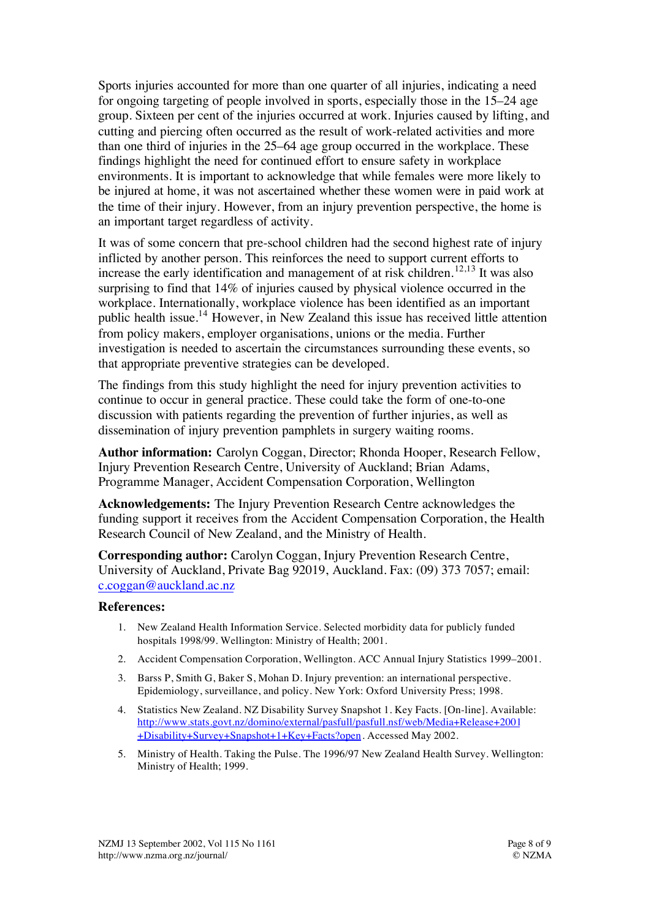Sports injuries accounted for more than one quarter of all injuries, indicating a need for ongoing targeting of people involved in sports, especially those in the 15–24 age group. Sixteen per cent of the injuries occurred at work. Injuries caused by lifting, and cutting and piercing often occurred as the result of work-related activities and more than one third of injuries in the 25–64 age group occurred in the workplace. These findings highlight the need for continued effort to ensure safety in workplace environments. It is important to acknowledge that while females were more likely to be injured at home, it was not ascertained whether these women were in paid work at the time of their injury. However, from an injury prevention perspective, the home is an important target regardless of activity.

It was of some concern that pre-school children had the second highest rate of injury inflicted by another person. This reinforces the need to support current efforts to increase the early identification and management of at risk children.<sup>12,13</sup> It was also surprising to find that 14% of injuries caused by physical violence occurred in the workplace. Internationally, workplace violence has been identified as an important public health issue.14 However, in New Zealand this issue has received little attention from policy makers, employer organisations, unions or the media. Further investigation is needed to ascertain the circumstances surrounding these events, so that appropriate preventive strategies can be developed.

The findings from this study highlight the need for injury prevention activities to continue to occur in general practice. These could take the form of one-to-one discussion with patients regarding the prevention of further injuries, as well as dissemination of injury prevention pamphlets in surgery waiting rooms.

**Author information:** Carolyn Coggan, Director; Rhonda Hooper, Research Fellow, Injury Prevention Research Centre, University of Auckland; Brian Adams, Programme Manager, Accident Compensation Corporation, Wellington

**Acknowledgements:** The Injury Prevention Research Centre acknowledges the funding support it receives from the Accident Compensation Corporation, the Health Research Council of New Zealand, and the Ministry of Health.

**Corresponding author:** Carolyn Coggan, Injury Prevention Research Centre, University of Auckland, Private Bag 92019, Auckland. Fax: (09) 373 7057; email: c.coggan@auckland.ac.nz

#### **References:**

- 1. New Zealand Health Information Service. Selected morbidity data for publicly funded hospitals 1998/99. Wellington: Ministry of Health; 2001.
- 2. Accident Compensation Corporation, Wellington. ACC Annual Injury Statistics 1999–2001.
- 3. Barss P, Smith G, Baker S, Mohan D. Injury prevention: an international perspective. Epidemiology, surveillance, and policy. New York: Oxford University Press; 1998.
- 4. Statistics New Zealand. NZ Disability Survey Snapshot 1. Key Facts. [On-line]. Available: http://www.stats.govt.nz/domino/external/pasfull/pasfull.nsf/web/Media+Release+2001 +Disability+Survey+Snapshot+1+Key+Facts?open. Accessed May 2002.
- 5. Ministry of Health. Taking the Pulse. The 1996/97 New Zealand Health Survey. Wellington: Ministry of Health; 1999.